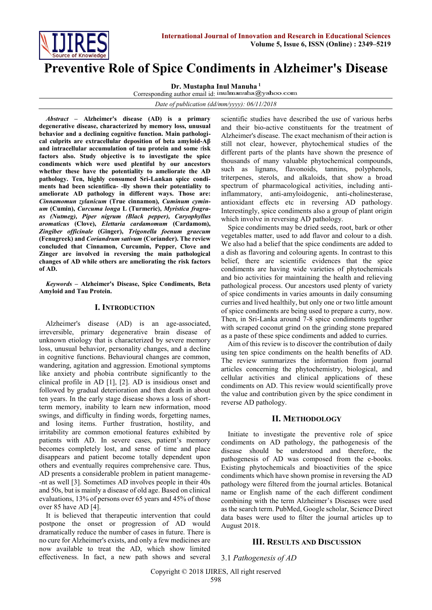

# **Preventive Role of Spice Condiments in Alzheimer's Disease**

**Dr. Mustapha Inul Manuha <sup>1</sup>**

Corresponding author email id: inulmanuha@yahoo.com

*Date of publication (dd/mm/yyyy): 06/11/2018*

*Abstract* **– Alzheimer's disease (AD) is a primary degenerative disease, characterized by memory loss, unusual behavior and a declining cognitive function. Main pathological culprits are extracellular deposition of beta amyloid-Aβ and intracellular accumulation of tau protein and some** r**isk factors also. Study objective is to investigate the spice condiments which were used plentiful by our ancestors whether these have the potentiality to ameliorate the AD pathology. Ten, highly consumed Sri-Lankan spice condiments had been scientifica- -lly shown their potentiality to ameliorate AD pathology in different ways. Those are:** *Cinnamomun zylanicum* **(True cinnamon)***, Cuminum cyminum* **(Cumin),** *Curcuma longa* **L (Turmeric),** *Myristica fragrans (Nutmeg), Piper nigrum (Black pepper), Caryophyllus aromaticus* **(Clove),** *Elettaria cardamomum* **(Cardamom),**  *Zingiber officinale* **(Ginger),** *Trigonella foenum graecum* **(Fenugreek) and** *Coriandrum sativum* **(Coriander). The review concluded that Cinnamon, Curcumin, Pepper, Clove and Zinger are involved in reversing the main pathological changes of AD while others are ameliorating the risk factors of AD.**

*Keywords* **– Alzheimer's Disease, Spice Condiments, Beta Amyloid and Tau Protein.**

#### **I. INTRODUCTION**

Alzheimer's disease (AD) is an age-associated, irreversible, primary degenerative brain disease of unknown etiology that is characterized by severe memory loss, unusual behavior, personality changes, and a decline in cognitive functions. Behavioural changes are common, wandering, agitation and aggression. Emotional symptoms like anxiety and phobia contribute significantly to the clinical profile in AD [1], [2]. AD is insidious onset and followed by gradual deterioration and then death in about ten years. In the early stage disease shows a loss of shortterm memory, inability to learn new information, mood swings, and difficulty in finding words, forgetting names, and losing items. Further frustration, hostility, and irritability are common emotional features exhibited by patients with AD. In severe cases, patient's memory becomes completely lost, and sense of time and place disappears and patient become totally dependent upon others and eventually requires comprehensive care. Thus, AD presents a considerable problem in patient manageme- -nt as well [3]. Sometimes AD involves people in their 40s and 50s, but is mainly a disease of old age. Based on clinical evaluations, 13% of persons over 65 years and 45% of those over 85 have AD [4].

It is believed that therapeutic intervention that could postpone the onset or progression of AD would dramatically reduce the number of cases in future. There is no cure for Alzheimer's exists, and only a few medicines are now available to treat the AD, which show limited effectiveness. In fact, a new path shows and several scientific studies have described the use of various herbs and their bio-active constituents for the treatment of Alzheimer's disease. The exact mechanism of their action is still not clear, however, phytochemical studies of the different parts of the plants have shown the presence of thousands of many valuable phytochemical compounds, such as lignans, flavonoids, tannins, polyphenols, triterpenes, sterols, and alkaloids, that show a broad spectrum of pharmacological activities, including antiinflammatory, anti-amyloidogenic, anti-cholinesterase, antioxidant effects etc in reversing AD pathology. Interestingly, spice condiments also a group of plant origin which involve in reversing AD pathology.

Spice condiments may be dried seeds, root, bark or other vegetables matter, used to add flavor and colour to a dish. We also had a belief that the spice condiments are added to a dish as flavoring and colouring agents. In contrast to this belief, there are scientific evidences that the spice condiments are having wide varieties of phytochemicals and bio activities for maintaining the health and relieving pathological process. Our ancestors used plenty of variety of spice condiments in varies amounts in daily consuming curries and lived healthily, but only one or two little amount of spice condiments are being used to prepare a curry, now. Then, in Sri-Lanka around 7-8 spice condiments together with scraped coconut grind on the grinding stone prepared as a paste of these spice condiments and added to curries.

Aim of this review is to discover the contribution of daily using ten spice condiments on the health benefits of AD. The review summarizes the information from journal articles concerning the phytochemistry, biological, and cellular activities and clinical applications of these condiments on AD. This review would scientifically prove the value and contribution given by the spice condiment in reverse AD pathology.

# **II. METHODOLOGY**

Initiate to investigate the preventive role of spice condiments on AD pathology, the pathogenesis of the disease should be understood and therefore, the pathogenesis of AD was composed from the e-books. Existing phytochemicals and bioactivities of the spice condiments which have shown promise in reversing the AD pathology were filtered from the journal articles. Botanical name or English name of the each different condiment combining with the term Alzheimer's Diseases were used as the search term. PubMed, Google scholar, Science Direct data bases were used to filter the journal articles up to August 2018.

## **III. RESULTS AND DISCUSSION**

3.1 *Pathogenesis of AD*

Copyright © 2018 IJIRES, All right reserved 598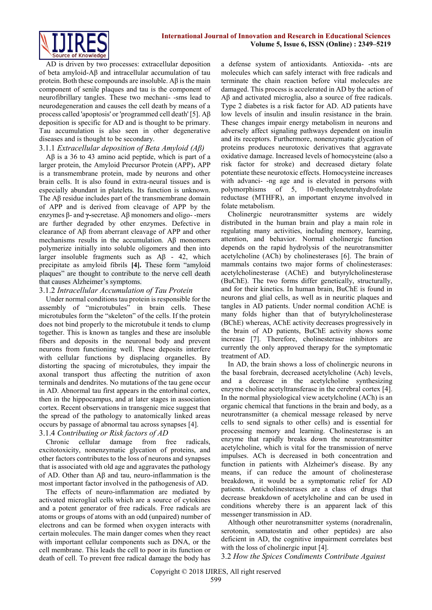

AD is driven by two processes: extracellular deposition of beta amyloid-Aβ and intracellular accumulation of tau protein. Both these compounds are insoluble. Aβ is the main component of senile plaques and tau is the component of neurofibrillary tangles. These two mechani- -sms lead to neurodegeneration and causes the cell death by means of a process called 'apoptosis' or 'programmed cell death' [5]. Aβ deposition is specific for AD and is thought to be primary. Tau accumulation is also seen in other degenerative diseases and is thought to be secondary.

#### 3.1.1 *Extracellular deposition of Beta Amyloid (Aβ)*

Aβ is a 36 to 43 amino acid peptide, which is part of a larger protein, the Amyloid Precursor Protein (APP)**.** APP is a transmembrane protein, made by neurons and other brain cells. It is also found in extra-neural tissues and is especially abundant in platelets. Its function is unknown. The Aβ residue includes part of the transmembrane domain of APP and is derived from cleavage of APP by the enzymes β- and **γ-**secretase. Aβ monomers and oligo- -mers are further degraded by other enzymes. Defective in clearance of Aβ from aberrant cleavage of APP and other mechanisms results in the accumulation. Aβ monomers polymerize initially into soluble oligomers and then into larger insoluble fragments such as Aβ - 42, which precipitate as amyloid fibrils **[4].** These form "amyloid plaques" are thought to contribute to the nerve cell death that causes Alzheimer's symptoms.

#### 3.1.2 *Intracellular Accumulation of Tau Protein*

Under normal conditions tau protein is responsible for the assembly of "microtubules" in brain cells. These microtubules form the "skeleton" of the cells. If the protein does not bind properly to the microtubule it tends to clump together. This is known as tangles and these are insoluble fibers and deposits in the neuronal body and prevent neurons from functioning well. These deposits interfere with cellular functions by displacing organelles. By distorting the spacing of microtubules, they impair the axonal transport thus affecting the nutrition of axon terminals and dendrites. No mutations of the tau gene occur in AD. Abnormal tau first appears in the entorhinal cortex, then in the hippocampus, and at later stages in association cortex. Recent observations in transgenic mice suggest that the spread of the pathology to anatomically linked areas occurs by passage of abnormal tau across synapses [4].

# 3.1.4 *Contributing or Risk factors of AD*

Chronic cellular damage from free radicals, excitotoxicity, nonenzymatic glycation of proteins, and other factors contributes to the loss of neurons and synapses that is associated with old age and aggravates the pathology of AD. Other than  $\mathbf{A}\beta$  and tau, neuro-inflammation is the most important factor involved in the pathogenesis of AD.

The effects of neuro-inflammation are mediated by activated microglial cells which are a source of cytokines and a potent generator of free radicals. Free radicals are atoms or groups of atoms with an odd (unpaired) number of electrons and can be formed when oxygen interacts with certain molecules. The main danger comes when they react with important cellular components such as DNA, or the cell membrane. This leads the cell to poor in its function or death of cell. To prevent free radical damage the body has

a defense system of antioxidants*.* Antioxida- -nts are molecules which can safely interact with free radicals and terminate the chain reaction before vital molecules are damaged. This process is accelerated in AD by the action of Aβ and activated microglia, also a source of free radicals. Type 2 diabetes is a risk factor for AD. AD patients have low levels of insulin and insulin resistance in the brain. These changes impair energy metabolism in neurons and adversely affect signaling pathways dependent on insulin and its receptors. Furthermore, nonenzymatic glycation of proteins produces neurotoxic derivatives that aggravate oxidative damage. Increased levels of homocysteine (also a risk factor for stroke) and decreased dietary folate potentiate these neurotoxic effects. Homocysteine increases with advanci- -ng age and is elevated in persons with polymorphisms of 5, 10-methylenetetrahydrofolate reductase (MTHFR), an important enzyme involved in folate metabolism.

Cholinergic neurotransmitter systems are widely distributed in the human brain and play a main role in regulating many activities, including memory, learning, attention, and behavior. Normal cholinergic function depends on the rapid hydrolysis of the neurotransmitter acetylcholine (ACh) by cholinesterases [6]. The brain of mammals contains two major forms of cholinesterases: acetylcholinesterase (AChE) and butyrylcholinesterase (BuChE). The two forms differ genetically, structurally, and for their kinetics. In human brain, BuChE is found in neurons and glial cells, as well as in neuritic plaques and tangles in AD patients. Under normal condition AChE is many folds higher than that of butyrylcholinesterase (BChE) whereas, AChE activity decreases progressively in the brain of AD patients, BuChE activity shows some increase [7]. Therefore, cholinesterase inhibitors are currently the only approved therapy for the symptomatic treatment of AD.

In AD, the brain shows a loss of cholinergic neurons in the basal forebrain, decreased acetylcholine (Ach) levels, and a decrease in the acetylcholine synthesizing enzyme choline acetyltransferase in the cerebral cortex [4]. In the normal physiological view acetylcholine (ACh) is an organic chemical that functions in the brain and body, as a neurotransmitter (a chemical message released by nerve cells to send signals to other cells) and is essential for processing memory and learning. Cholinesterase is an enzyme that rapidly breaks down the neurotransmitter acetylcholine, which is vital for the transmission of nerve impulses. ACh is decreased in both concentration and function in patients with Alzheimer's disease. By any means, if can reduce the amount of cholinesterase breakdown, it would be a symptomatic relief for AD patients. Anticholinesterases are a class of drugs that decrease breakdown of acetylcholine and can be used in conditions whereby there is an apparent lack of this messenger transmission in AD.

Although other neurotransmitter systems (noradrenalin, serotonin, somatostatin and other peptides) are also deficient in AD, the cognitive impairment correlates best with the loss of cholinergic input [4].

3.2 *How the Spices Condiments Contribute Against*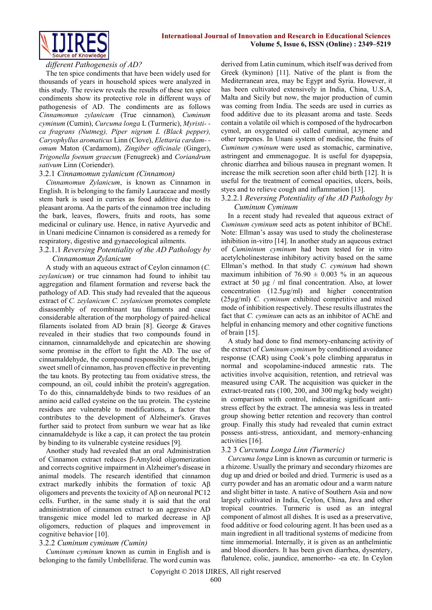



#### *different Pathogenesis of AD?*

The ten spice condiments that have been widely used for thousands of years in household spices were analyzed in this study. The review reveals the results of these ten spice condiments show its protective role in different ways of pathogenesis of AD. The condiments are as follows *Cinnamomun zylanicum* (True cinnamon)*, Cuminum cyminum* (Cumin), *Curcuma longa* L (Turmeric), *Myristi- ca fragrans (Nutmeg), Piper nigrum L (Black pepper), Caryophyllus aromaticus* Linn (Clove), *Elettaria cardam- omum* Maton (Cardamom), *Zingiber officinale* (Ginger), *Trigonella foenum graecum* (Fenugreek) and *Coriandrum sativum* Linn (Coriender).

#### 3.2.1 *Cinnamomun zylanicum (Cinnamon)*

*Cinnamomun Zylanicum*, is known as Cinnamon in English. It is belonging to the family Lauraceae and mostly stem bark is used in curries as food additive due to its pleasant aroma. Aa the parts of the cinnamon tree including the bark, leaves, flowers, fruits and roots, has some medicinal or culinary use. Hence, in native Ayurvedic and in Unani medicine Cinnamon is considered as a remedy for respiratory, digestive and gynaecological ailments.

#### 3.2.1.1 *Reversing Potentiality of the AD Pathology by Cinnamomun Zylanicum*

A study with an aqueous extract of Ceylon cinnamon (*C. zeylanicum*) or true cinnamon had found to inhibit tau aggregation and filament formation and reverse back the pathology of AD. This study had revealed that the aqueous extract of *C. zeylanicum C. zeylanicum* promotes complete disassembly of recombinant tau filaments and cause considerable alteration of the morphology of paired-helical filaments isolated from AD brain [8]. George & Graves revealed in their studies that two compounds found in cinnamon, cinnamaldehyde and epicatechin are showing some promise in the effort to fight the AD. The use of cinnamaldehyde, the compound responsible for the bright, sweet smell of cinnamon, has proven effective in preventing the tau knots. By protecting tau from oxidative stress, the compound, an oil, could inhibit the protein's aggregation. To do this, cinnamaldehyde binds to two residues of an amino acid called cysteine on the tau protein. The cysteine residues are vulnerable to modifications, a factor that contributes to the development of Alzheimer's. Graves further said to protect from sunburn we wear hat as like cinnamaldehyde is like a cap, it can protect the tau protein by binding to its vulnerable cysteine residues [9].

Another study had revealed that an oral Administration of Cinnamon extract reduces β-Amyloid oligomerization and corrects cognitive impairment in Alzheimer's disease in animal models. The research identified that cinnamon extract markedly inhibits the formation of toxic Aβ oligomers and prevents the toxicity of Aβ on neuronal PC12 cells. Further, in the same study it is said that the oral administration of cinnamon extract to an aggressive AD transgenic mice model led to marked decrease in Aβ oligomers, reduction of plaques and improvement in cognitive behavior [10].

#### 3.2.2 *Cuminum cyminum (Cumin)*

*Cuminum cyminum* known as cumin in English and is belonging to the family Umbelliferae. The word cumin was

derived from Latin cuminum, which itself was derived from Greek (kyminon) [11]. Native of the plant is from the Mediterranean area, may be Egypt and Syria. However, it has been cultivated extensively in India, China, U.S.A, Malta and Sicily but now, the major production of cumin was coming from India. The seeds are used in curries as food additive due to its pleasant aroma and taste. Seeds contain a volatile oil which is composed of the hydrocarbon cymol, an oxygenated oil called cuminal, acymene and other terpenes. In Unani system of medicine, the fruits of *Cuminum cyminum* were used as stomachic, carminative, astringent and emmenagogue. It is useful for dyapepsia, chronic diarrhea and bilious nausea in pregnant women. It increase the milk secretion soon after child birth [12]. It is useful for the treatment of corneal opacities, ulcers, boils, styes and to relieve cough and inflammation [13].

# 3.2.2.1 *Reversing Potentiality of the AD Pathology by Cuminum Cyminum*

In a recent study had revealed that aqueous extract of *Cuminum cyminum* seed acts as potent inhibitor of BChE. Note: Ellman's assay was used to study the cholinesterase inhibition in-vitro [14]. In another study an aqueous extract of *Cumininum cyminum* had been tested for in vitro acetylcholinesterase inhibitory activity based on the same Ellman's method. In that study *C. cyminum* had shown maximum inhibition of  $76.90 \pm 0.003$  % in an aqueous extract at 50 μg / ml final concentration. Also, at lower concentration (12.5µg/ml) and higher concentration (25µg/ml) *C. cyminum* exhibited competitive and mixed mode of inhibition respectively. These results illustrates the fact that *C. cyminum* can acts as an inhibitor of AChE and helpful in enhancing memory and other cognitive functions of brain [15].

A study had done to find memory-enhancing activity of the extract of *Cuminum cyminum* by conditioned avoidance response (CAR) using Cook's pole climbing apparatus in normal and scopolamine-induced amnestic rats. The activities involve acquisition, retention, and retrieval was measured using CAR. The acquisition was quicker in the extract-treated rats (100, 200, and 300 mg/kg body weight) in comparison with control, indicating significant antistress effect by the extract. The amnesia was less in treated group showing better retention and recovery than control group. Finally this study had revealed that cumin extract possess anti-stress, antioxidant, and memory-enhancing activities [16].

#### 3.2 3 *Curcuma Longa Linn (Turmeric)*

*Curcuma longa* Linn is known as curcumin or turmeric is a rhizome. Usually the primary and secondary rhizomes are dug up and dried or boiled and dried. Turmeric is used as a curry powder and has an aromatic odour and a warm nature and slight bitter in taste. A native of Southern Asia and now largely cultivated in India, Ceylon, China, Java and other tropical countries. Turmeric is used as an integral component of almost all dishes. It is used as a preservative, food additive or food colouring agent. It has been used as a main ingredient in all traditional systems of medicine from time immemorial. Internally, it is given as an anthelmintic and blood disorders. It has been given diarrhea, dysentery, flatulence, colic, jaundice, amenorrho- -ea etc. In Ceylon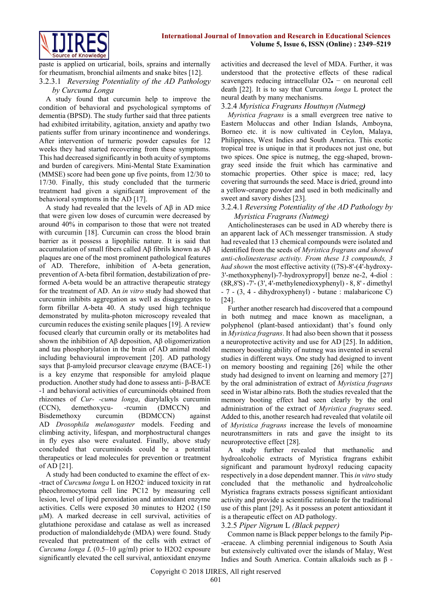

paste is applied on urticarial, boils, sprains and internally for rheumatism, bronchial ailments and snake bites [12].

## 3.2.3.1 *Reversing Potentiality of the AD Pathology by Curcuma Longa*

A study found that curcumin help to improve the condition of behavioral and psychological symptoms of dementia (BPSD). The study further said that three patients had exhibited irritability, agitation, anxiety and apathy two patients suffer from urinary incontinence and wonderings. After intervention of turmeric powder capsules for 12 weeks they had started recovering from these symptoms. This had decreased significantly in both acuity of symptoms and burden of caregivers. Mini-Mental State Examination (MMSE) score had been gone up five points, from 12/30 to 17/30. Finally, this study concluded that the turmeric treatment had given a significant improvement of the behavioral symptoms in the AD [17].

A study had revealed that the levels of Aβ in AD mice that were given low doses of curcumin were decreased by around 40% in comparison to those that were not treated with curcumin [18]. Curcumin can cross the blood brain barrier as it possess a lipophilic nature. It is said that accumulation of small fibers called Aβ fibrils known as Aβ plaques are one of the most prominent pathological features of AD. Therefore, inhibition of A-beta generation, prevention of A-beta fibril formation, destabilization of preformed A-beta would be an attractive therapeutic strategy for the treatment of AD. An *in vitro* study had showed that curcumin inhibits aggregation as well as disaggregates to form fibrillar A-beta 40. A study used high technique demonstrated by mulita-photon microscopy revealed that curcumin reduces the existing senile plaques [19]. A review focused clearly that curcumin orally or its metabolites had shown the inhibition of Aβ deposition, Aβ oligomerization and tau phosphorylation in the brain of AD animal model including behavioural improvement [20]. AD pathology says that β-amyloid precursor cleavage enzyme (BACE-1) is a key enzyme that responsible for amyloid plaque production. Another study had done to assess anti- β-BACE -1 and behavioral activities of curcuminoids obtained from rhizomes of *Cur- -cuma longa*, diarylalkyls curcumin (CCN), demethoxycu- -rcumin (DMCCN) and Bisdemethoxy curcumin (BDMCCN) against AD *Drosophila melanogaster* models. Feeding and climbing activity, lifespan, and morphostructural changes in fly eyes also were evaluated. Finally, above study concluded that curcuminoids could be a potential therapeutics or lead molecules for prevention or treatment of AD [21].

A study had been conducted to examine the effect of ex- -tract of *Curcuma longa* L on H2O2- induced toxicity in rat pheochromocytoma cell line PC12 by measuring cell lesion, level of lipid peroxidation and antioxidant enzyme activities. Cells were exposed 30 minutes to H2O2 (150 μM). A marked decrease in cell survival, activities of glutathione peroxidase and catalase as well as increased production of malondialdehyde (MDA) were found. Study revealed that pretreatment of the cells with extract of *Curcuma longa L* (0.5–10 μg/ml) prior to H2O2 exposure significantly elevated the cell survival, antioxidant enzyme

activities and decreased the level of MDA. Further, it was understood that the protective effects of these radical scavengers reducing intracellular  $O2 = \text{on}$  neuronal cell death [22]. It is to say that Curcuma *longa* L protect the neural death by many mechanisms.

# 3.2.4 *Myristica Fragrans Houttuyn (Nutmeg)*

*Myristica fragrans* is a small evergreen tree native to Eastern Moluccas and other Indian Islands, Amboyna, Borneo etc. it is now cultivated in Ceylon, Malaya, Philippines, West Indies and South America. This exotic tropical tree is unique in that it produces not just one, but two spices. One spice is nutmeg, the egg-shaped, browngray seed inside the fruit which has carminative and stomachic properties. Other spice is mace; red, lacy covering that surrounds the seed. Mace is dried, ground into a yellow-orange powder and used in both medicinally and sweet and savory dishes [23].

## 3.2.4.1 *Reversing Potentiality of the AD Pathology by Myristica Fragrans (Nutmeg)*

Anticholinesterases can be used in AD whereby there is an apparent lack of ACh messenger transmission. A study had revealed that 13 chemical compounds were isolated and identified from the seeds of *Myristica fragrans and showed anti-cholinesterase activity. From these 13 compounds, 3 had shown* the most effective activity ((7S)-8'-(4'-hydroxy-3'-methoxyphenyl)-7-hydroxypropyl] benze ne-2, 4-diol : (8R,8'S) -7'- (3', 4'-methylenedioxyphenyl) - 8, 8' - dimethyl - 7 - (3, 4 - dihydroxyphenyl) - butane : malabaricone C) [24].

Further another research had discovered that a compound in both nutmeg and mace known as macelignan, a polyphenol (plant-based antioxidant) that's found only in *Myristica fragrans*. It had also been shown that it possess a neuroprotective activity and use for AD [25]. In addition, memory boosting ability of nutmeg was invented in several studies in different ways. One study had designed to invent on memory boosting and regaining [26] while the other study had designed to invent on learning and memory [27] by the oral administration of extract of *Myristica fragrans* seed in Wistar albino rats. Both the studies revealed that the memory booting effect had seen clearly by the oral administration of the extract of *Myristica fragrans* seed. Added to this, another research had revealed that volatile oil of *Myristica fragrans* increase the levels of monoamine neurotransmitters in rats and gave the insight to its neuroprotective effect [28].

A study further revealed that methanolic and hydroalcoholic extracts of Myristica fragrans exhibit significant and paramount hydroxyl reducing capacity respectively in a dose dependent manner. This *in vitro* study concluded that the methanolic and hydroalcoholic Myristica fragrans extracts possess significant antioxidant activity and provide a scientific rationale for the traditional use of this plant [29]. As it possess an potent antioxidant it is a therapeutic effect on AD pathology.

#### 3.2.5 *Piper Nigrum* L *(Black pepper)*

Common name is Black pepper belongs to the family Pip- -eraceae. A climbing perennial indigenous to South Asia but extensively cultivated over the islands of Malay, West Indies and South America. Contain alkaloids such as β -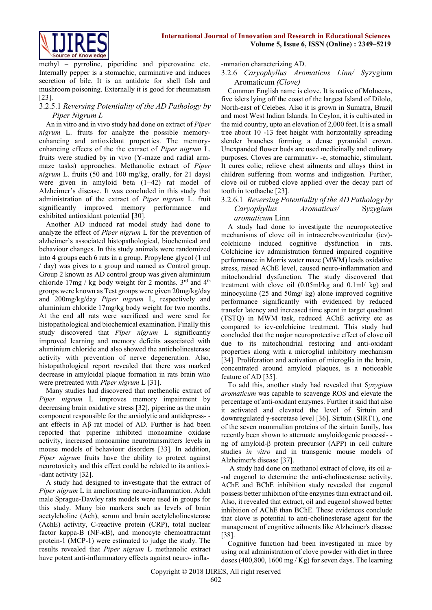

methyl – pyrroline, piperidine and piperovatine etc. Internally pepper is a stomachic, carminative and induces secretion of bile. It is an antidote for shell fish and mushroom poisoning. Externally it is good for rheumatism [23].

# 3.2.5.1 *Reversing Potentiality of the AD Pathology by Piper Nigrum L*

An in vitro and in vivo study had done on extract of *Piper nigrum* L. fruits for analyze the possible memoryenhancing and antioxidant properties. The memoryenhancing effects of the the extract of *Piper nigrum* L. fruits were studied by in vivo (Y-maze and radial armmaze tasks) approaches. Methanolic extract of *Piper nigrum* L. fruits (50 and 100 mg/kg, orally, for 21 days) were given in amyloid beta (1–42) rat model of Alzheimer's disease. It was concluded in this study that administration of the extract of *Piper nigrum* L. fruit significantly improved memory performance and exhibited antioxidant potential [30].

Another AD induced rat model study had done to analyze the effect of *Piper nigrum* L for the prevention of alzheimer's associated histopathological, biochemical and behaviour changes. In this study animals were randomized into 4 groups each 6 rats in a group. Propylene glycol (1 ml / day) was gives to a group and named as Control group. Group 2 known as AD control group was given aluminium chloride 17mg / kg body weight for 2 months.  $3<sup>rd</sup>$  and  $4<sup>th</sup>$ groups were known as Test groups were given 20mg/kg/day and 200mg/kg/day *Piper nigrum* L, respectively and aluminium chloride 17mg/kg body weight for two months. At the end all rats were sacrificed and were send for histopathological and biochemical examination. Finally this study discovered that *Piper nigrum* L significantly improved learning and memory deficits associated with aluminium chloride and also showed the anticholinesterase activity with prevention of nerve degeneration. Also, histopathological report revealed that there was marked decrease in amyloidal plaque formation in rats brain who were pretreated with *Piper nigrum* L [31].

Many studies had discovered that methenolic extract of *Piper nigrum* L improves memory impairment by decreasing brain oxidative stress [32], piperine as the main component responsible for the anxiolytic and antidepress- ant effects in Aβ rat model of AD. Further is had been reported that piperine inhibited monoamine oxidase activity, increased monoamine neurotransmitters levels in mouse models of behaviour disorders [33]. In addition, *Piper nigrum* fruits have the ability to protect against neurotoxicity and this effect could be related to its antioxi- -dant activity [32].

A study had designed to investigate that the extract of *Piper nigrum* L in ameliorating neuro-inflammation. Adult male Sprague-Dawley rats models were used in groups for this study. Many bio markers such as levels of brain acetylcholine (Ach), serum and brain acetylcholinesterase (AchE) activity, C-reactive protein (CRP), total nuclear factor kappa-B (NF-κB), and monocyte chemoattractant protein-1 (MCP-1) were estimated to judge the study. The results revealed that *Piper nigrum* L methanolic extract have potent anti-inflammatory effects against neuro- infla-

#### -mmation characterizing AD.

## 3.2.6 *Caryophyllus Aromaticus Linn/ S*yzygium Aromaticum *(Clove)*

Common English name is clove. It is native of Moluccas, five islets lying off the coast of the largest Island of Dilolo, North-east of Celebes. Also it is grown in Sumatra, Brazil and most West Indian Islands. In Ceylon, it is cultivated in the mid country, upto an elevation of 2,000 feet. It is a small tree about 10 -13 feet height with horizontally spreading slender branches forming a dense pyramidal crown. Unexpanded flower buds are used medicinally and culinary purposes. Cloves are carminativ- -e, stomachic, stimulant. It cures colic; relieve chest ailments and allays thirst in children suffering from worms and indigestion. Further, clove oil or rubbed clove applied over the decay part of tooth in toothache [23].

## 3.2.6.1 *Reversing Potentiality of the AD Pathology by Caryophyllus Aromaticus/* S*yzygium aromaticum* Linn

A study had done to investigate the neuroprotective mechanisms of clove oil in intracerebroventricular (icv) colchicine induced cognitive dysfunction in rats. Colchicine icv administration formed impaired cognitive performance in Morris water maze (MWM) leads oxidative stress, raised AChE level, caused neuro-inflammation and mitochondrial dysfunction. The study discovered that treatment with clove oil (0.05ml/kg and 0.1ml/ kg) and minocycline (25 and 50mg/ kg) alone improved cognitive performance significantly with evidenced by reduced transfer latency and increased time spent in target quadrant (TSTQ) in MWM task, reduced AChE activity etc as compared to icv-colchicine treatment. This study had concluded that the major neuroprotective effect of clove oil due to its mitochondrial restoring and anti-oxidant properties along with a microglial inhibitory mechanism [34]. Proliferation and activation of microglia in the brain, concentrated around amyloid plaques, is a noticeable feature of AD [35].

To add this, another study had revealed that S*yzygium aromaticum* was capable to scavenge ROS and elevate the percentage of anti-oxidant enzymes. Further it said that also it activated and elevated the level of Sirtuin and downregulated γ-secretase level [36]. Sirtuin (SIRT1), one of the seven mammalian proteins of the sirtuin family, has recently been shown to attenuate amyloidogenic processi- ng of amyloid-β protein precursor (APP) in cell culture studies *in vitro* and in transgenic mouse models of Alzheimer's disease [37].

A study had done on methanol extract of clove, its oil a- -nd eugenol to determine the anti-cholinesterase activity. AChE and BChE inhibition study revealed that eugenol possess better inhibition of the enzymes than extract and oil. Also, it revealed that extract, oil and eugenol showed better inhibition of AChE than BChE. These evidences conclude that clove is potential to anti-cholinesterase agent for the management of cognitive ailments like Alzheimer's disease [38].

Cognitive function had been investigated in mice by using oral administration of clove powder with diet in three doses (400,800, 1600 mg / Kg) for seven days. The learning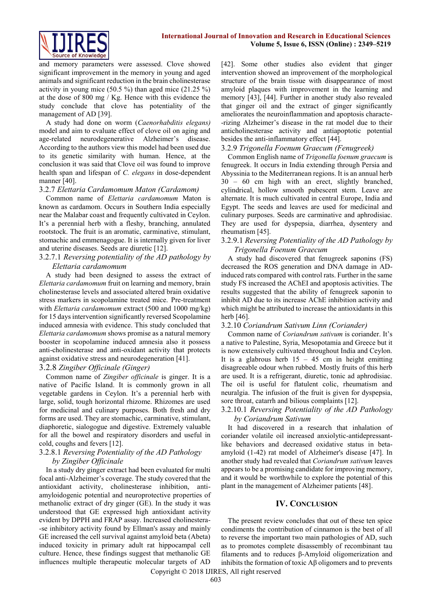

and memory parameters were assessed. Clove showed significant improvement in the memory in young and aged animals and significant reduction in the brain cholinesterase activity in young mice (50.5 %) than aged mice (21.25 %) at the dose of 800 mg / Kg. Hence with this evidence the study conclude that clove has potentiality of the management of AD [39].

A study had done on worm (*Caenorhabditis elegans)*  model and aim to evaluate effect of clove oil on aging and age-related neurodegenerative Alzheimer's disease. According to the authors view this model had been used due to its genetic similarity with human. Hence, at the conclusion it was said that Clove oil was found to improve health span and lifespan of *C. elegans* in dose-dependent manner [40].

#### 3.2.7 *Elettaria Cardamomum Maton (Cardamom)*

Common name of *Elettaria cardamomum* Maton is known as cardamom. Occurs in Southern India especially near the Malabar coast and frequently cultivated in Ceylon. It's a perennial herb with a fleshy, branching, annulated rootstock. The fruit is an aromatic, carminative, stimulant, stomachic and emmenagogue. It is internally given for liver and uterine diseases. Seeds are diuretic [12].

#### 3.2.7.1 *Reversing potentiality of the AD pathology by Elettaria cardamomum*

A study had been designed to assess the extract of *Elettaria cardamomum* fruit on learning and memory, brain cholinesterase levels and associated altered brain oxidative stress markers in scopolamine treated mice. Pre-treatment with *Elettaria cardamomum* extract (500 and 1000 mg/kg) for 15 days intervention significantly reversed Scopolamine induced amnesia with evidence. This study concluded that *Elettaria cardamomum* shows promise as a natural memory booster in scopolamine induced amnesia also it possess anti-cholinesterase and anti-oxidant activity that protects against oxidative stress and neurodegeneration [41].

#### 3.2.8 *Zingiber Officinale (Ginger)*

Common name of *Zingiber officinale* is ginger. It is a native of Pacific Island. It is commonly grown in all vegetable gardens in Ceylon. It's a perennial herb with large, solid, tough horizontal rhizome. Rhizomes are used for medicinal and culinary purposes. Both fresh and dry forms are used. They are stomachic, carminative, stimulant, diaphoretic, sialogogue and digestive. Extremely valuable for all the bowel and respiratory disorders and useful in cold, coughs and fevers [12].

#### 3.2.8.1 *Reversing Potentiality of the AD Pathology by Zingiber Officinale*

In a study dry ginger extract had been evaluated for multi focal anti-Alzheimer's coverage. The study covered that the antioxidant activity, cholinesterase inhibition, antiamyloidogenic potential and neuroprotective properties of methanolic extract of dry ginger (GE). In the study it was understood that GE expressed high antioxidant activity evident by DPPH and FRAP assay. Increased cholinestera- -se inhibitory activity found by Ellman's assay and mainly GE increased the cell survival against amyloid beta (Abeta) induced toxicity in primary adult rat hippocampal cell culture. Hence, these findings suggest that methanolic GE influences multiple therapeutic molecular targets of AD

[42]. Some other studies also evident that ginger intervention showed an improvement of the morphological structure of the brain tissue with disappearance of most amyloid plaques with improvement in the learning and memory [43], [44]. Further in another study also revealed that ginger oil and the extract of ginger significantly ameliorates the neuroinflammation and apoptosis characte- -rizing Alzheimer's disease in the rat model due to their anticholinesterase activity and antiapoptotic potential besides the anti-inflammatory effect [44].

#### 3.2.9 *Trigonella Foenum Graecum (Fenugreek)*

Common English name of *Trigonella foenum graecum* is fenugreek. It occurs in India extending through Persia and Abyssinia to the Mediterranean regions. It is an annual herb 30 – 60 cm high with an erect, slightly branched, cylindrical, hollow smooth pubescent stem. Leave are alternate. It is much cultivated in central Europe, India and Egypt. The seeds and leaves are used for medicinal and culinary purposes. Seeds are carminative and aphrodisiac. They are used for dyspepsia, diarrhea, dysentery and rheumatism [45].

### 3.2.9.1 *Reversing Potentiality of the AD Pathology by Trigonella Foenum Graecum*

A study had discovered that fenugreek saponins (FS) decreased the ROS generation and DNA damage in ADinduced rats compared with control rats. Further in the same study FS increased the AChEI and apoptosis activities. The results suggested that the ability of fenugreek saponin to inhibit AD due to its increase AChE inhibition activity and which might be attributed to increase the antioxidants in this herb [46].

#### 3.2.10 *Coriandrum Sativum Linn (Coriander)*

Common name of *Coriandrum sativum* is coriander. It's a native to Palestine, Syria, Mesopotamia and Greece but it is now extensively cultivated throughout India and Ceylon. It is a glabrous herb  $15 - 45$  cm in height emitting disagreeable odour when rubbed. Mostly fruits of this herb are used. It is a refrigerant, diuretic, tonic ad aphrodisiac. The oil is useful for flatulent colic, rheumatism and neuralgia. The infusion of the fruit is given for dyspepsia, sore throat, catarrh and bilious complaints [12].

## 3.2.10.1 *Reversing Potentiality of the AD Pathology by Coriandrum Sativum*

It had discovered in a research that inhalation of coriander volatile oil increased anxiolytic-antidepressantlike behaviors and decreased oxidative status in betaamyloid (1-42) rat model of Alzheimer's disease [47]. In another study had revealed that *Coriandrum sativum* leaves appears to be a promising candidate for improving memory, and it would be worthwhile to explore the potential of this plant in the management of Alzheimer patients [48].

#### **IV. CONCLUSION**

The present review concludes that out of these ten spice condiments the contribution of cinnamon is the best of all to reverse the important two main pathologies of AD, such as to promotes complete disassembly of recombinant tau filaments and to reduces β-Amyloid oligomerization and inhibits the formation of toxic  $\mathbf{A}\boldsymbol{\beta}$  oligomers and to prevents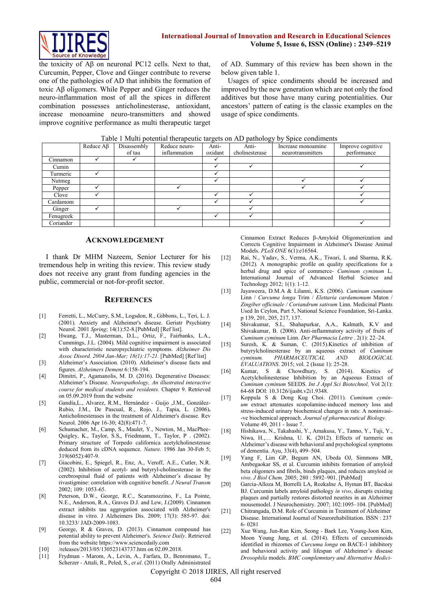

the toxicity of Aβ on neuronal PC12 cells. Next to that, Curcumin, Pepper, Clove and Ginger contribute to reverse one of the pathologies of AD that inhibits the formation of toxic Aβ oligomers. While Pepper and Ginger reduces the neuro-inflammation most of all the spices in different combination possesses anticholinesterase, antioxidant, increase monoamine neuro-transmitters and showed improve cognitive performance as multi therapeutic target of AD. Summary of this review has been shown in the below given table 1.

Usages of spice condiments should be increased and improved by the new generation which are not only the food additives but those have many curing potentialities. Our ancestors' pattern of eating is the classic examples on the usage of spice condiments.

| Table 1 Multi potential therapeutic targets on AD pathology by Spice condiments |  |  |  |  |  |
|---------------------------------------------------------------------------------|--|--|--|--|--|
|---------------------------------------------------------------------------------|--|--|--|--|--|

|           | Reduce $\mathbf{A}\mathbf{\beta}$ | Disassembly<br>of tau | Reduce neuro-<br>inflammation | Anti-<br>oxidant | $\tilde{\phantom{a}}$<br>Anti-<br>cholinesterase | Increase monoamine<br>neurotransmitters | Improve cognitive<br>performance |
|-----------|-----------------------------------|-----------------------|-------------------------------|------------------|--------------------------------------------------|-----------------------------------------|----------------------------------|
|           |                                   |                       |                               |                  |                                                  |                                         |                                  |
| Cinnamon  |                                   |                       |                               |                  |                                                  |                                         |                                  |
| Cumin     |                                   |                       |                               |                  |                                                  |                                         |                                  |
| Turmeric  |                                   |                       |                               |                  |                                                  |                                         |                                  |
| Nutmeg    |                                   |                       |                               |                  |                                                  |                                         |                                  |
| Pepper    |                                   |                       |                               |                  |                                                  |                                         |                                  |
| Clove     |                                   |                       |                               |                  |                                                  |                                         |                                  |
| Cardamom  |                                   |                       |                               |                  |                                                  |                                         |                                  |
| Ginger    |                                   |                       |                               |                  |                                                  |                                         |                                  |
| Fenugreek |                                   |                       |                               |                  |                                                  |                                         |                                  |
| Coriander |                                   |                       |                               |                  |                                                  |                                         |                                  |

#### **ACKNOWLEDGEMENT**

I thank Dr MHM Nazeem, Senior Lecturer for his tremendous help in writing this review. This review study does not receive any grant from funding agencies in the public, commercial or not-for-profit sector.

#### **REFERENCES**

- [1] Ferretti, L., McCurry, S.M., Logsdon, R., Gibbons, L., Teri, L. J. (2001). Anxiety and Alzheimer's disease. Geriatr Psychiatry Neurol. 2001 *Spring*; 14(1):52-8[.\[PubMed\]](https://www.ncbi.nlm.nih.gov/pubmed/11281317/) [\[Ref list\]](https://www.ncbi.nlm.nih.gov/pmc/articles/PMC4389991/#CR5).
- [2] Hwang, T.J., Masterman, D.L., Ortiz, F., Fairbanks, L.A., Cummings, J.L. (2004). Mild cognitive impairment is associated with characteristic neuropsychiatric symptoms. *Alzheimer Dis Assoc Disord. 2004 Jan-Mar; 18(1):17-21.* [\[PubMed\]](https://www.ncbi.nlm.nih.gov/pubmed/15195459/) [\[Ref list\]](https://www.ncbi.nlm.nih.gov/pmc/articles/PMC4389991/#CR6)
- [3] Alzheimer's Association. (2010). Alzheimer's disease facts and figures. *Alzheimers Dement* 6:158-194.
- [4] Dimitri, P., Agamanolis, M. D. (2016). Degenerative Diseases: Alzheimer's Disease. *Neuropathology, An illustrated interactive course for medical students and residents.* Chapter 9. Retrieved on 05.09.2019 from the website
- [5] [Gandía,L.,](https://www.ncbi.nlm.nih.gov/pubmed/?term=Gand%C3%ADa%20L%5BAuthor%5D&cauthor=true&cauthor_uid=16625509) [Alvarez, R.M.,](https://www.ncbi.nlm.nih.gov/pubmed/?term=Alvarez%20RM%5BAuthor%5D&cauthor=true&cauthor_uid=16625509) [Hernández](https://www.ncbi.nlm.nih.gov/pubmed/?term=Hern%C3%A1ndez-Guijo%20JM%5BAuthor%5D&cauthor=true&cauthor_uid=16625509) Guijo ,J.M., [González-](https://www.ncbi.nlm.nih.gov/pubmed/?term=Gonz%C3%A1lez-Rubio%20JM%5BAuthor%5D&cauthor=true&cauthor_uid=16625509)[Rubio, J.M.,](https://www.ncbi.nlm.nih.gov/pubmed/?term=Gonz%C3%A1lez-Rubio%20JM%5BAuthor%5D&cauthor=true&cauthor_uid=16625509) [De Pascual, R.,](https://www.ncbi.nlm.nih.gov/pubmed/?term=de%20Pascual%20R%5BAuthor%5D&cauthor=true&cauthor_uid=16625509) [Rojo, J.](https://www.ncbi.nlm.nih.gov/pubmed/?term=Rojo%20J%5BAuthor%5D&cauthor=true&cauthor_uid=16625509), [Tapia, L.](https://www.ncbi.nlm.nih.gov/pubmed/?term=Tapia%20L%5BAuthor%5D&cauthor=true&cauthor_uid=16625509) (2006)**.**  Anticholinesterases in the treatment of Alzheimer's disease. [Rev](https://www.ncbi.nlm.nih.gov/pubmed/16625509)  [Neurol.](https://www.ncbi.nlm.nih.gov/pubmed/16625509) 2006 Apr 16-30; 42(8):471-7.
- [6] Schumacher, M., Camp, S., Maulet, Y., Newton, M., MacPhee-Quigley, K., Taylor, S.S,, Friedmann, T., Taylor, P . (2002). Primary structure of Torpedo californica acetylcholinesterase deduced from its cDNA sequence. *Nature.* 1986 Jan 30-Feb 5; 319(6052):407-9.
- [7] Giacobini, E., Spiegel, R., Enz, A., Veroff, A.E., Cutler, N.R. (2002). Inhibition of acetyl- and butyryl-cholinesterase in the cerebrospinal fluid of patients with Alzheimer's disease by rivastigmine: correlation with cognitive benefit. *J Neural Transm* 2002; 109: 1053-65.
- [8] [Peterson,](https://www.ncbi.nlm.nih.gov/pubmed/?term=Peterson%20DW%5BAuthor%5D&cauthor=true&cauthor_uid=19433898) D.W., [George,](https://www.ncbi.nlm.nih.gov/pubmed/?term=George%20RC%5BAuthor%5D&cauthor=true&cauthor_uid=19433898) R.C., [Scaramozzino, F.,](https://www.ncbi.nlm.nih.gov/pubmed/?term=Scaramozzino%20F%5BAuthor%5D&cauthor=true&cauthor_uid=19433898) La [Pointe,](https://www.ncbi.nlm.nih.gov/pubmed/?term=LaPointe%20NE%5BAuthor%5D&cauthor=true&cauthor_uid=19433898)  [N.E.,](https://www.ncbi.nlm.nih.gov/pubmed/?term=LaPointe%20NE%5BAuthor%5D&cauthor=true&cauthor_uid=19433898) [Anderson, R.A.,](https://www.ncbi.nlm.nih.gov/pubmed/?term=Anderson%20RA%5BAuthor%5D&cauthor=true&cauthor_uid=19433898) [Graves D.J.](https://www.ncbi.nlm.nih.gov/pubmed/?term=Graves%20DJ%5BAuthor%5D&cauthor=true&cauthor_uid=19433898) an[d Lew, J.\(](https://www.ncbi.nlm.nih.gov/pubmed/?term=Lew%20J%5BAuthor%5D&cauthor=true&cauthor_uid=19433898)2009). Cinnamon extract inhibits tau aggregation associated with Alzheimer's disease in vitro. [J Alzheimers Dis.](https://www.ncbi.nlm.nih.gov/pubmed/19433898) 2009; 17(3): 585-97. doi: 10.3233/ JAD-2009-1083.
- [9] George, R & Graves, D. (2013). Cinnamon compound has potential ability to prevent Alzheimer's. *Seience Daily*. Retrieved from the website [https://www.sciencedaily.com](https://www.sciencedaily.com/)
- [10] [/releases/2013/05/130523143737.htm](https://www.sciencedaily.com/releases/2013/05/130523143737.htm) on 02.09.2018.
- [11] Frydman Marom, A., Levin, A., Farfara, D., Benromano, T., Scherzer - Attali, R., Peled, S., *et al*. (2011) Orally Administrated

Cinnamon Extract Reduces β-Amyloid Oligomerization and Corrects Cognitive Impairment in Alzheimer's Disease Animal Models. *PLoS ONE* 6(1):e16564.

- [12] Rai, N., Yadav, S., Verma, A.K., Tiwari, L and Sharma, R.K. (2012). A monographic profile on quality specifications for a herbal drug and spice of commerce- *Cuminum cyminum* L. International Journal of Advanced Herbal Science and Technology 2012; 1(1): 1-12.
- [13] Jayaweera, D.M.A & Lilanni, K.S. (2006). *Cuminum cuminum* Linn / *Curcuma longa* Trim / *Elettaria cardamomum* Maton / *Zingiber officinale / Coriandrum sativum* Linn. Medicinal Plants Used In Ceylon, Part 5, National Science Foundation, Sri-Lanka. p 139, 201, 205, 217, 137.
- [14] Shivakumar, S.I., Shahapurkar, A.A., Kalmath, K.V and Shivakumar, B. (2006). Anti-inflammatory activity of fruits of *Cuminum cyminum* Linn. *Der Pharmacia Lettre* . 2(1): 22–24.
- [15] Suresh, K. & Suman, C. (2015).Kinetics of inhibition of butyrylcholinesterase by an aqueous extract of *Cuminum*   $c$ *vminum. PHARMACEUTICAL AND EVALUATIONS*. 2015; vol. 2 (Issue 1): 25-28.
- [16] Kumar, S & Chowdhury, S. (2014). Kinetics of Acetylcholinesterase Inhibition by an Aqueous Extract of *Cuminum cyminum* SEEDS. *Int J Appl Sci Biotechnol,* Vol 2(1): 64-68 DOI: 10.3126/ijasbt.v2i1.9348.
- [17] [Koppula](https://www.tandfonline.com/author/Koppula%2C+Sushruta) S & [Dong Kug Choi.](https://www.tandfonline.com/author/Choi%2C+Dong+Kug) (2011). *Cuminum cyminum* extract attenuates scopolamine-induced memory loss and stress-induced urinary biochemical changes in rats: A noninvasi- -ve biochemical approach. *Journal of pharmaceutical Biology.*  Volume 49, 2011 - [Issue 7.](https://www.tandfonline.com/toc/iphb20/49/7)
- [18] Hishikawa, N., Takahashi, Y., Amakusa, Y., Tanno, Y., Tuji, Y., Niwa, H.,… Krishna, U. K. (2012). Effects of turmeric on Alzheimer's disease with behavioral and psychological symptoms of dementia. Ayu, 33(4), 499–504.
- [19] Yang F, Lim GP, Begum AN, Ubeda OJ, Simmons MR, Ambegaokar SS, et al. Curcumin inhibits formation of amyloid beta oligomers and fibrils, binds plaques, and reduces amyloid *in vivo*. *J Biol Chem*. 2005; 280 : 5892–901. [\[PubMed\]](https://www.ncbi.nlm.nih.gov/pubmed/15590663)
- [20] Garcia-Alloza M, Borrelli LA, Rozkalne A, Hyman BT, Bacskai BJ. Curcumin labels amyloid pathology *in vivo*, disrupts existing plaques and partially restores distorted neurites in an Alzheimer mousemodel. J Neurochemistry. 2007; 102:1095–104. [\[PubMed\]](https://www.ncbi.nlm.nih.gov/pubmed/17472706)
- [21] Chitrangada, D.M. Role of Curcumin in Treatment of Alzheimer Disease. International Journal of Neurorehabilitation. ISSN : 237 6- 0281
- [22] Xue Wang, Jun-Ran Kim, Seong Baek Lee, Young-Joon Kim, Moon Young Jung, et al. (2014). Effects of curcuminoids identified in rhizomes of *Curcuma longa* on BACE-1 inhibitory and behavioral activity and lifespan of Alzheimer's disease *Drosophila* models. *BMC complemntary and Alternative Medici-*